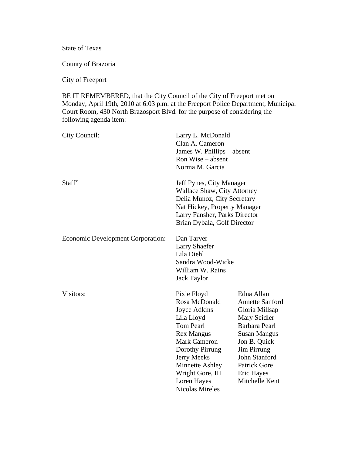State of Texas

County of Brazoria

City of Freeport

BE IT REMEMBERED, that the City Council of the City of Freeport met on Monday, April 19th, 2010 at 6:03 p.m. at the Freeport Police Department, Municipal Court Room, 430 North Brazosport Blvd. for the purpose of considering the following agenda item:

| City Council:                            | Larry L. McDonald<br>Clan A. Cameron<br>James W. Phillips – absent<br>Ron Wise – absent<br>Norma M. Garcia                                                                                                                                          |                                                                                                                                                                                                                       |
|------------------------------------------|-----------------------------------------------------------------------------------------------------------------------------------------------------------------------------------------------------------------------------------------------------|-----------------------------------------------------------------------------------------------------------------------------------------------------------------------------------------------------------------------|
| Staff"                                   | Jeff Pynes, City Manager<br>Wallace Shaw, City Attorney<br>Delia Munoz, City Secretary<br>Nat Hickey, Property Manager<br>Larry Fansher, Parks Director<br>Brian Dybala, Golf Director                                                              |                                                                                                                                                                                                                       |
| <b>Economic Development Corporation:</b> | Dan Tarver<br><b>Larry Shaefer</b><br>Lila Diehl<br>Sandra Wood-Wicke<br>William W. Rains<br><b>Jack Taylor</b>                                                                                                                                     |                                                                                                                                                                                                                       |
| Visitors:                                | Pixie Floyd<br>Rosa McDonald<br>Joyce Adkins<br>Lila Lloyd<br><b>Tom Pearl</b><br><b>Rex Mangus</b><br><b>Mark Cameron</b><br>Dorothy Pirrung<br>Jerry Meeks<br><b>Minnette Ashley</b><br>Wright Gore, III<br>Loren Hayes<br><b>Nicolas Mireles</b> | Edna Allan<br><b>Annette Sanford</b><br>Gloria Millsap<br>Mary Seidler<br>Barbara Pearl<br><b>Susan Mangus</b><br>Jon B. Quick<br>Jim Pirrung<br>John Stanford<br><b>Patrick Gore</b><br>Eric Hayes<br>Mitchelle Kent |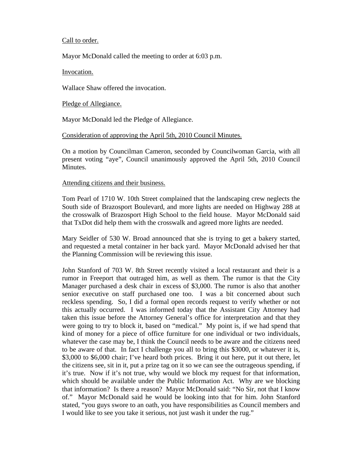### Call to order.

Mayor McDonald called the meeting to order at 6:03 p.m.

Invocation.

Wallace Shaw offered the invocation.

Pledge of Allegiance.

Mayor McDonald led the Pledge of Allegiance.

## Consideration of approving the April 5th, 2010 Council Minutes.

On a motion by Councilman Cameron, seconded by Councilwoman Garcia, with all present voting "aye", Council unanimously approved the April 5th, 2010 Council Minutes.

### Attending citizens and their business.

Tom Pearl of 1710 W. 10th Street complained that the landscaping crew neglects the South side of Brazosport Boulevard, and more lights are needed on Highway 288 at the crosswalk of Brazosport High School to the field house. Mayor McDonald said that TxDot did help them with the crosswalk and agreed more lights are needed.

Mary Seidler of 530 W. Broad announced that she is trying to get a bakery started, and requested a metal container in her back yard. Mayor McDonald advised her that the Planning Commission will be reviewing this issue.

John Stanford of 703 W. 8th Street recently visited a local restaurant and their is a rumor in Freeport that outraged him, as well as them. The rumor is that the City Manager purchased a desk chair in excess of \$3,000. The rumor is also that another senior executive on staff purchased one too. I was a bit concerned about such reckless spending. So, I did a formal open records request to verify whether or not this actually occurred. I was informed today that the Assistant City Attorney had taken this issue before the Attorney General's office for interpretation and that they were going to try to block it, based on "medical." My point is, if we had spend that kind of money for a piece of office furniture for one individual or two individuals, whatever the case may be, I think the Council needs to be aware and the citizens need to be aware of that. In fact I challenge you all to bring this \$3000, or whatever it is, \$3,000 to \$6,000 chair; I've heard both prices. Bring it out here, put it out there, let the citizens see, sit in it, put a prize tag on it so we can see the outrageous spending, if it's true. Now if it's not true, why would we block my request for that information, which should be available under the Public Information Act. Why are we blocking that information? Is there a reason? Mayor McDonald said: "No Sir, not that I know of." Mayor McDonald said he would be looking into that for him. John Stanford stated, "you guys swore to an oath, you have responsibilities as Council members and I would like to see you take it serious, not just wash it under the rug."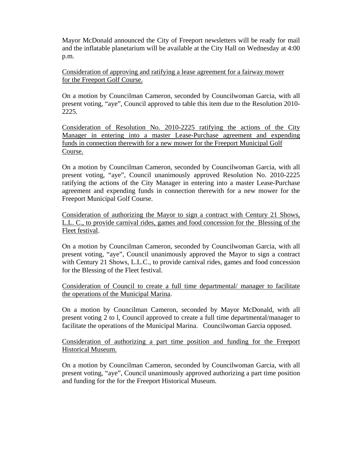Mayor McDonald announced the City of Freeport newsletters will be ready for mail and the inflatable planetarium will be available at the City Hall on Wednesday at 4:00 p.m.

Consideration of approving and ratifying a lease agreement for a fairway mower for the Freeport Golf Course.

On a motion by Councilman Cameron, seconded by Councilwoman Garcia, with all present voting, "aye", Council approved to table this item due to the Resolution 2010- 2225.

Consideration of Resolution No. 2010-2225 ratifying the actions of the City Manager in entering into a master Lease-Purchase agreement and expending funds in connection therewith for a new mower for the Freeport Municipal Golf Course.

On a motion by Councilman Cameron, seconded by Councilwoman Garcia, with all present voting, "aye", Council unanimously approved Resolution No. 2010-2225 ratifying the actions of the City Manager in entering into a master Lease-Purchase agreement and expending funds in connection therewith for a new mower for the Freeport Municipal Golf Course.

Consideration of authorizing the Mayor to sign a contract with Century 21 Shows, L.L. C., to provide carnival rides, games and food concession for the Blessing of the Fleet festival.

On a motion by Councilman Cameron, seconded by Councilwoman Garcia, with all present voting, "aye", Council unanimously approved the Mayor to sign a contract with Century 21 Shows, L.L.C., to provide carnival rides, games and food concession for the Blessing of the Fleet festival.

Consideration of Council to create a full time departmental/ manager to facilitate the operations of the Municipal Marina.

On a motion by Councilman Cameron, seconded by Mayor McDonald, with all present voting 2 to l, Council approved to create a full time departmental/manager to facilitate the operations of the Municipal Marina. Councilwoman Garcia opposed.

Consideration of authorizing a part time position and funding for the Freeport Historical Museum.

On a motion by Councilman Cameron, seconded by Councilwoman Garcia, with all present voting, "aye", Council unanimously approved authorizing a part time position and funding for the for the Freeport Historical Museum.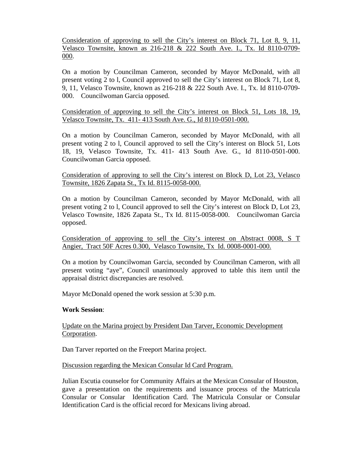Consideration of approving to sell the City's interest on Block 71, Lot 8, 9, 11, Velasco Townsite, known as 216-218 & 222 South Ave. I., Tx. Id 8110-0709- 000.

On a motion by Councilman Cameron, seconded by Mayor McDonald, with all present voting 2 to l, Council approved to sell the City's interest on Block 71, Lot 8, 9, 11, Velasco Townsite, known as 216-218 & 222 South Ave. I., Tx. Id 8110-0709- 000. Councilwoman Garcia opposed.

Consideration of approving to sell the City's interest on Block 51, Lots 18, 19, Velasco Townsite, Tx. 411- 413 South Ave. G., Id 8110-0501-000.

On a motion by Councilman Cameron, seconded by Mayor McDonald, with all present voting 2 to l, Council approved to sell the City's interest on Block 51, Lots 18, 19, Velasco Townsite, Tx. 411- 413 South Ave. G., Id 8110-0501-000. Councilwoman Garcia opposed.

## Consideration of approving to sell the City's interest on Block D, Lot 23, Velasco Townsite, 1826 Zapata St., Tx Id. 8115-0058-000.

On a motion by Councilman Cameron, seconded by Mayor McDonald, with all present voting 2 to l, Council approved to sell the City's interest on Block D, Lot 23, Velasco Townsite, 1826 Zapata St., Tx Id. 8115-0058-000. Councilwoman Garcia opposed.

Consideration of approving to sell the City's interest on Abstract 0008, S T Angier, Tract 50F Acres 0.300, Velasco Townsite, Tx Id. 0008-0001-000.

On a motion by Councilwoman Garcia, seconded by Councilman Cameron, with all present voting "aye", Council unanimously approved to table this item until the appraisal district discrepancies are resolved.

Mayor McDonald opened the work session at 5:30 p.m.

## **Work Session**:

# Update on the Marina project by President Dan Tarver, Economic Development Corporation.

Dan Tarver reported on the Freeport Marina project.

## Discussion regarding the Mexican Consular Id Card Program.

Julian Escutia counselor for Community Affairs at the Mexican Consular of Houston, gave a presentation on the requirements and issuance process of the Matricula Consular or Consular Identification Card. The Matricula Consular or Consular Identification Card is the official record for Mexicans living abroad.